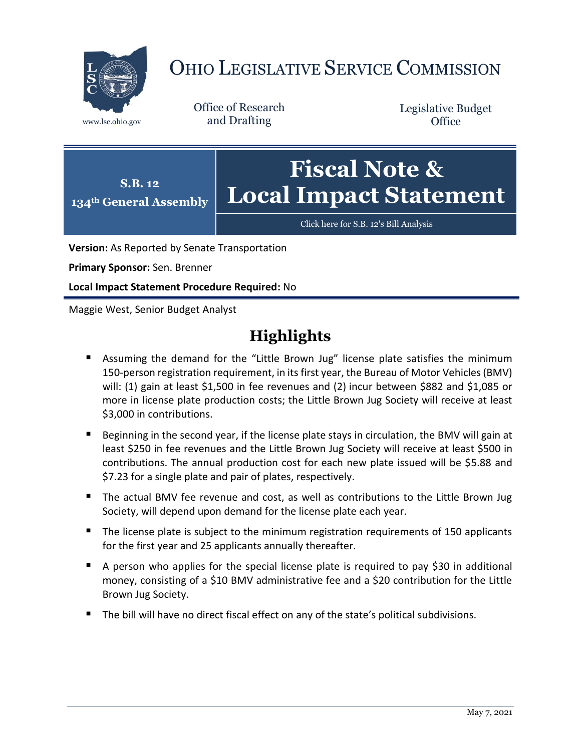

# OHIO LEGISLATIVE SERVICE COMMISSION

Office of Research www.lsc.ohio.gov and Drafting

Legislative Budget **Office** 



[Click here for S.B. 12's Bill Analysis](https://www.legislature.ohio.gov/legislation/legislation-documents?id=GA134-SB-12)

**Version:** As Reported by Senate Transportation

**Primary Sponsor:** Sen. Brenner

**Local Impact Statement Procedure Required:** No

Maggie West, Senior Budget Analyst

# **Highlights**

- Assuming the demand for the "Little Brown Jug" license plate satisfies the minimum 150-person registration requirement, in its first year, the Bureau of Motor Vehicles (BMV) will: (1) gain at least \$1,500 in fee revenues and (2) incur between \$882 and \$1,085 or more in license plate production costs; the Little Brown Jug Society will receive at least \$3,000 in contributions.
- Beginning in the second year, if the license plate stays in circulation, the BMV will gain at least \$250 in fee revenues and the Little Brown Jug Society will receive at least \$500 in contributions. The annual production cost for each new plate issued will be \$5.88 and \$7.23 for a single plate and pair of plates, respectively.
- The actual BMV fee revenue and cost, as well as contributions to the Little Brown Jug Society, will depend upon demand for the license plate each year.
- The license plate is subject to the minimum registration requirements of 150 applicants for the first year and 25 applicants annually thereafter.
- A person who applies for the special license plate is required to pay \$30 in additional money, consisting of a \$10 BMV administrative fee and a \$20 contribution for the Little Brown Jug Society.
- The bill will have no direct fiscal effect on any of the state's political subdivisions.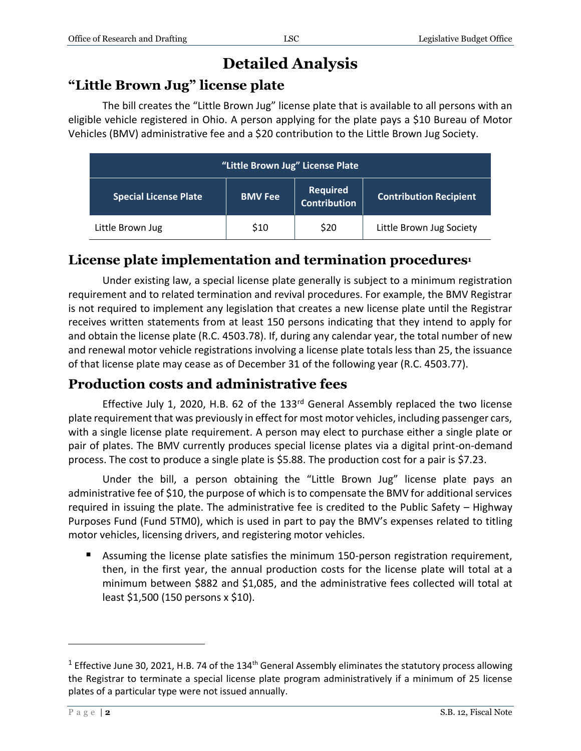## **Detailed Analysis**

#### **"Little Brown Jug" license plate**

The bill creates the "Little Brown Jug" license plate that is available to all persons with an eligible vehicle registered in Ohio. A person applying for the plate pays a \$10 Bureau of Motor Vehicles (BMV) administrative fee and a \$20 contribution to the Little Brown Jug Society.

| "Little Brown Jug" License Plate |                |                                        |                               |
|----------------------------------|----------------|----------------------------------------|-------------------------------|
| <b>Special License Plate</b>     | <b>BMV Fee</b> | <b>Required</b><br><b>Contribution</b> | <b>Contribution Recipient</b> |
| Little Brown Jug                 | \$10           | \$20                                   | Little Brown Jug Society      |

#### **License plate implementation and termination procedures<sup>1</sup>**

Under existing law, a special license plate generally is subject to a minimum registration requirement and to related termination and revival procedures. For example, the BMV Registrar is not required to implement any legislation that creates a new license plate until the Registrar receives written statements from at least 150 persons indicating that they intend to apply for and obtain the license plate (R.C. 4503.78). If, during any calendar year, the total number of new and renewal motor vehicle registrations involving a license plate totals less than 25, the issuance of that license plate may cease as of December 31 of the following year (R.C. 4503.77).

#### **Production costs and administrative fees**

Effective July 1, 2020, H.B. 62 of the  $133<sup>rd</sup>$  General Assembly replaced the two license plate requirement that was previously in effect for most motor vehicles, including passenger cars, with a single license plate requirement. A person may elect to purchase either a single plate or pair of plates. The BMV currently produces special license plates via a digital print-on-demand process. The cost to produce a single plate is \$5.88. The production cost for a pair is \$7.23.

Under the bill, a person obtaining the "Little Brown Jug" license plate pays an administrative fee of \$10, the purpose of which is to compensate the BMV for additional services required in issuing the plate. The administrative fee is credited to the Public Safety – Highway Purposes Fund (Fund 5TM0), which is used in part to pay the BMV's expenses related to titling motor vehicles, licensing drivers, and registering motor vehicles.

 Assuming the license plate satisfies the minimum 150-person registration requirement, then, in the first year, the annual production costs for the license plate will total at a minimum between \$882 and \$1,085, and the administrative fees collected will total at least \$1,500 (150 persons x \$10).

 $\overline{a}$ 

<sup>&</sup>lt;sup>1</sup> Effective June 30, 2021, H.B. 74 of the 134<sup>th</sup> General Assembly eliminates the statutory process allowing the Registrar to terminate a special license plate program administratively if a minimum of 25 license plates of a particular type were not issued annually.